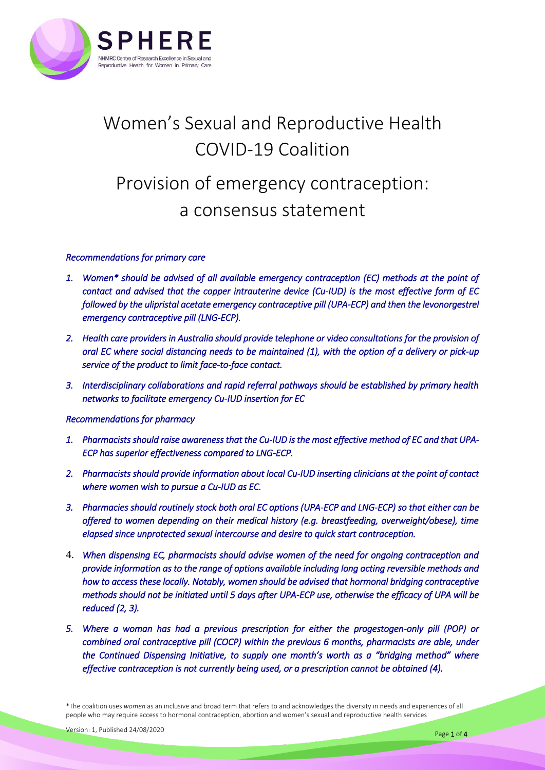

# Women's Sexual and Reproductive Health COVID-19 Coalition

## Provision of emergency contraception: a consensus statement

#### *Recommendations for primary care*

- *1. Women\* should be advised of all available emergency contraception (EC) methods at the point of contact and advised that the copper intrauterine device (Cu-IUD) is the most effective form of EC followed by the ulipristal acetate emergency contraceptive pill (UPA-ECP) and then the levonorgestrel emergency contraceptive pill (LNG-ECP).*
- *2. Health care providers in Australia should provide telephone or video consultations for the provision of oral EC where social distancing needs to be maintained (1), with the option of a delivery or pick-up service of the product to limit face-to-face contact.*
- *3. Interdisciplinary collaborations and rapid referral pathways should be established by primary health networks to facilitate emergency Cu-IUD insertion for EC*

#### *Recommendations for pharmacy*

- *1. Pharmacists should raise awareness that the Cu-IUD is the most effective method of EC and that UPA-ECP has superior effectiveness compared to LNG-ECP.*
- *2. Pharmacists should provide information about local Cu-IUD inserting clinicians at the point of contact where women wish to pursue a Cu-IUD as EC.*
- *3. Pharmacies should routinely stock both oral EC options (UPA-ECP and LNG-ECP) so that either can be offered to women depending on their medical history (e.g. breastfeeding, overweight/obese), time elapsed since unprotected sexual intercourse and desire to quick start contraception.*
- 4. *When dispensing EC, pharmacists should advise women of the need for ongoing contraception and provide information as to the range of options available including long acting reversible methods and how to access these locally. Notably, women should be advised that hormonal bridging contraceptive methods should not be initiated until 5 days after UPA-ECP use, otherwise the efficacy of UPA will be reduced (2, 3).*
- *5. Where a woman has had a previous prescription for either the progestogen-only pill (POP) or combined oral contraceptive pill (COCP) within the previous 6 months, pharmacists are able, under the Continued Dispensing Initiative, to supply one month's worth as a "bridging method" where effective contraception is not currently being used, or a prescription cannot be obtained (4).*

\*The coalition uses *women* as an inclusive and broad term that refers to and acknowledges the diversity in needs and experiences of all people who may require access to hormonal contraception, abortion and women's sexual and reproductive health services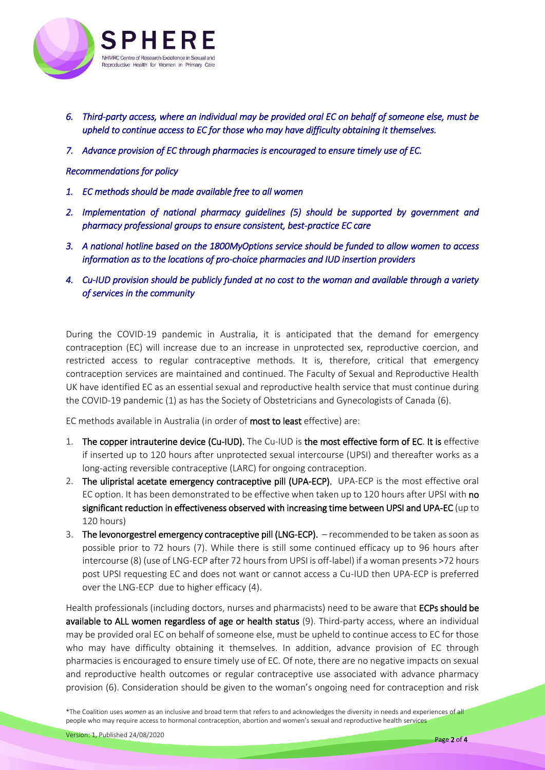

- *6. Third-party access, where an individual may be provided oral EC on behalf of someone else, must be upheld to continue access to EC for those who may have difficulty obtaining it themselves.*
- *7. Advance provision of EC through pharmacies is encouraged to ensure timely use of EC.*

#### *Recommendations for policy*

- *1. EC methods should be made available free to all women*
- *2. Implementation of national pharmacy guidelines (5) should be supported by government and pharmacy professional groups to ensure consistent, best-practice EC care*
- *3. A national hotline based on the 1800MyOptions service should be funded to allow women to access information as to the locations of pro-choice pharmacies and IUD insertion providers*
- *4. Cu-IUD provision should be publicly funded at no cost to the woman and available through a variety of services in the community*

During the COVID-19 pandemic in Australia, it is anticipated that the demand for emergency contraception (EC) will increase due to an increase in unprotected sex, reproductive coercion, and restricted access to regular contraceptive methods. It is, therefore, critical that emergency contraception services are maintained and continued. The Faculty of Sexual and Reproductive Health UK have identified EC as an essential sexual and reproductive health service that must continue during the COVID-19 pandemic (1) as has the Society of Obstetricians and Gynecologists of Canada (6).

EC methods available in Australia (in order of most to least effective) are:

- 1. The copper intrauterine device (Cu-IUD). The Cu-IUD is the most effective form of EC. It is effective if inserted up to 120 hours after unprotected sexual intercourse (UPSI) and thereafter works as a long-acting reversible contraceptive (LARC) for ongoing contraception.
- 2. The ulipristal acetate emergency contraceptive pill (UPA-ECP). UPA-ECP is the most effective oral EC option. It has been demonstrated to be effective when taken up to 120 hours after UPSI with no significant reduction in effectiveness observed with increasing time between UPSI and UPA-EC (up to 120 hours)
- 3. The levonorgestrel emergency contraceptive pill (LNG-ECP). recommended to be taken as soon as possible prior to 72 hours (7). While there is still some continued efficacy up to 96 hours after intercourse (8) (use of LNG-ECP after 72 hours from UPSI is off-label) if a woman presents >72 hours post UPSI requesting EC and does not want or cannot access a Cu-IUD then UPA-ECP is preferred over the LNG-ECP due to higher efficacy (4).

Health professionals (including doctors, nurses and pharmacists) need to be aware that ECPs should be available to ALL women regardless of age or health status (9). Third-party access, where an individual may be provided oral EC on behalf of someone else, must be upheld to continue access to EC for those who may have difficulty obtaining it themselves. In addition, advance provision of EC through pharmacies is encouraged to ensure timely use of EC. Of note, there are no negative impacts on sexual and reproductive health outcomes or regular contraceptive use associated with advance pharmacy provision (6). Consideration should be given to the woman's ongoing need for contraception and risk

<sup>\*</sup>The Coalition uses *women* as an inclusive and broad term that refers to and acknowledges the diversity in needs and experiences of all people who may require access to hormonal contraception, abortion and women's sexual and reproductive health services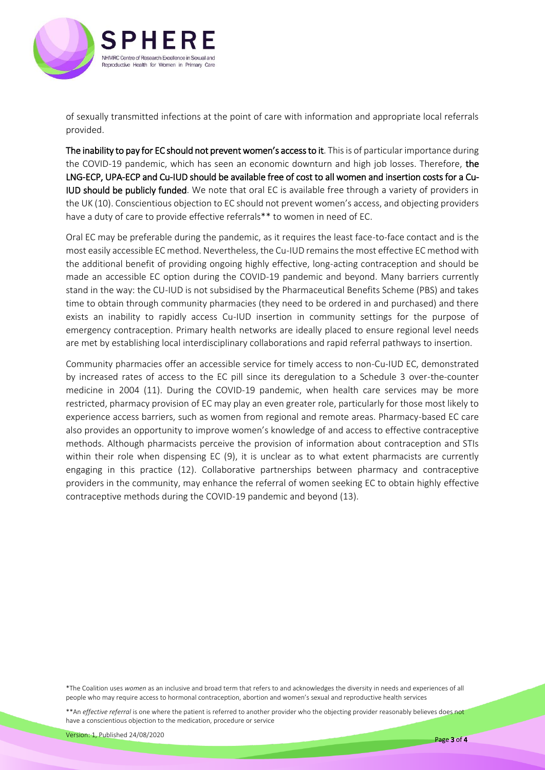

of sexually transmitted infections at the point of care with information and appropriate local referrals provided.

The inability to pay for EC should not prevent women's access to it. This is of particular importance during the COVID-19 pandemic, which has seen an economic downturn and high job losses. Therefore, the LNG-ECP, UPA-ECP and Cu-IUD should be available free of cost to all women and insertion costs for a Cu-IUD should be publicly funded. We note that oral EC is available free through a variety of providers in the UK (10). Conscientious objection to EC should not prevent women's access, and objecting providers have a duty of care to provide effective referrals\*\* to women in need of EC.

Oral EC may be preferable during the pandemic, as it requires the least face-to-face contact and is the most easily accessible EC method. Nevertheless, the Cu-IUD remains the most effective EC method with the additional benefit of providing ongoing highly effective, long-acting contraception and should be made an accessible EC option during the COVID-19 pandemic and beyond. Many barriers currently stand in the way: the CU-IUD is not subsidised by the Pharmaceutical Benefits Scheme (PBS) and takes time to obtain through community pharmacies (they need to be ordered in and purchased) and there exists an inability to rapidly access Cu-IUD insertion in community settings for the purpose of emergency contraception. Primary health networks are ideally placed to ensure regional level needs are met by establishing local interdisciplinary collaborations and rapid referral pathways to insertion.

Community pharmacies offer an accessible service for timely access to non-Cu-IUD EC, demonstrated by increased rates of access to the EC pill since its deregulation to a Schedule 3 over-the-counter medicine in 2004 (11). During the COVID-19 pandemic, when health care services may be more restricted, pharmacy provision of EC may play an even greater role, particularly for those most likely to experience access barriers, such as women from regional and remote areas. Pharmacy-based EC care also provides an opportunity to improve women's knowledge of and access to effective contraceptive methods. Although pharmacists perceive the provision of information about contraception and STIs within their role when dispensing EC (9), it is unclear as to what extent pharmacists are currently engaging in this practice (12). Collaborative partnerships between pharmacy and contraceptive providers in the community, may enhance the referral of women seeking EC to obtain highly effective contraceptive methods during the COVID-19 pandemic and beyond (13).

\*The Coalition uses *women* as an inclusive and broad term that refers to and acknowledges the diversity in needs and experiences of all people who may require access to hormonal contraception, abortion and women's sexual and reproductive health services

\*\*An *effective referral* is one where the patient is referred to another provider who the objecting provider reasonably believes does not have a conscientious objection to the medication, procedure or service